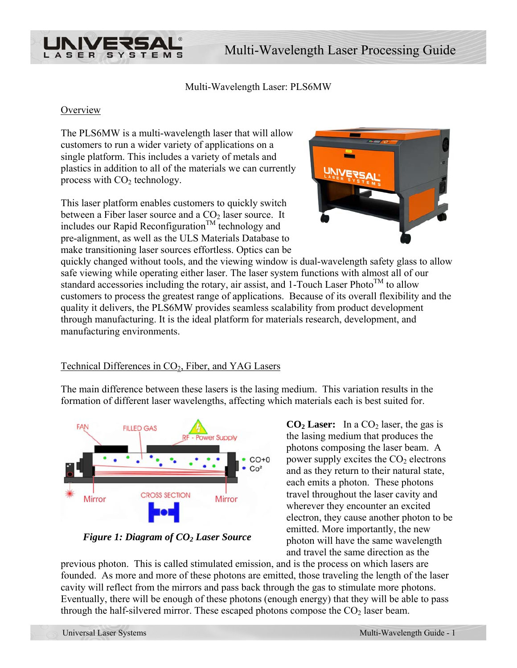

Multi-Wavelength Laser: PLS6MW

#### **Overview**

The PLS6MW is a multi-wavelength laser that will allow customers to run a wider variety of applications on a single platform. This includes a variety of metals and plastics in addition to all of the materials we can c urrently process with  $CO<sub>2</sub>$  technology.

This laser platform enables customers to quickly switch between a Fiber laser source and a  $CO<sub>2</sub>$  laser source. It includes our Rapid Reconfiguration<sup>TM</sup> technology and pre-alignment, as well as the ULS Materials Database to make transitioning laser sources effortless. Optics can be



quickly changed without tools, and the viewing window is dual-wavelength safety glass to allow safe viewing while operating either laser. The laser system functions with almost all of our standard accessories including the rotary, air assist, and 1-Touch Laser Photo<sup>TM</sup> to allow customers to process the greatest range of applications. Because of its overall flexibility and the quality it delivers, the PLS6MW provides seamless scalability from product development through manufacturing. It is the ideal platform for materials research, development, and manufacturing environments.

# Technical Differences in  $CO<sub>2</sub>$ , Fiber, and YAG Lasers

The main difference between these lasers is the lasing medium. This variation results in the formation of different laser wavelengths, affecting which materials each is best suited for.



*Figure 1: Diagram of CO2 Laser Source* 

 $CO<sub>2</sub>$  **Laser:** In a  $CO<sub>2</sub>$  laser, the gas is the lasing medium that produces the photons composing the laser beam. A power supply excites the  $CO<sub>2</sub>$  electrons and as they return to their natural state, each emits a photon. These photons travel throughout the laser cavity and wherever they encounter an excited electron, they cause another photon to be emitted. More importantly, the new photon will have the same wavelength and travel the same direction as the

previous photon. This is called stimulated emission, and is the process on which lasers are founded. As more and more of these photons are emitted, those traveling the length of the laser cavity will reflect from the mirrors and pass back through the gas to stimulate more photons. Eventually, there will be enough of these photons (enough energy) that they will be able to pass through the half-silvered mirror. These escaped photons compose the  $CO<sub>2</sub>$  laser beam.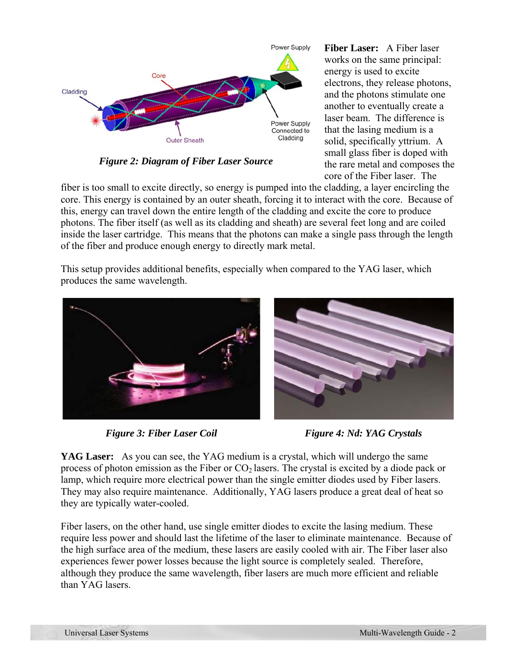

*Figure 2: Diagram of Fiber Laser Source* 

**Fiber Laser:** A Fiber laser works on the same principal: energy is used to excite electrons, they release photons, and the photons stimulate one another to eventually create a laser beam. The difference is that the lasing medium is a solid, specifically yttrium. A small glass fiber is doped with the rare metal and composes the core of the Fiber laser. The

fiber is too small to excite directly, so energy is pumped into the cladding, a layer encircling the core. This energy is contained by an outer sheath, forcing it to interact with the core. Because of this, energy can travel down the entire length of the cladding and excite the core to produce photons. The fiber itself (as well as its cladding and sheath) are several feet long and are coiled inside the laser cartridge. This means that the photons can make a single pass through the length of the fiber and produce enough energy to directly mark metal.

This setup provides additional benefits, especially when compared to the YAG laser, which produces the same wavelength.





*Figure 3: Fiber Laser Coil* Figure 4: Nd: YAG Crystals

**YAG Laser:** As you can see, the YAG medium is a crystal, which will undergo the same process of photon emission as the Fiber or  $CO<sub>2</sub>$  lasers. The crystal is excited by a diode pack or lamp, which require more electrical power than the single emitter diodes used by Fiber lasers. They may also require maintenance. Additionally, YAG lasers produce a great deal of heat so they are typically water-cooled.

Fiber lasers, on the other hand, use single emitter diodes to excite the lasing medium. These require less power and should last the lifetime of the laser to eliminate maintenance. Because of the high surface area of the medium, these lasers are easily cooled with air. The Fiber laser also experiences fewer power losses because the light source is completely sealed. Therefore, although they produce the same wavelength, fiber lasers are much more efficient and reliable than YAG lasers.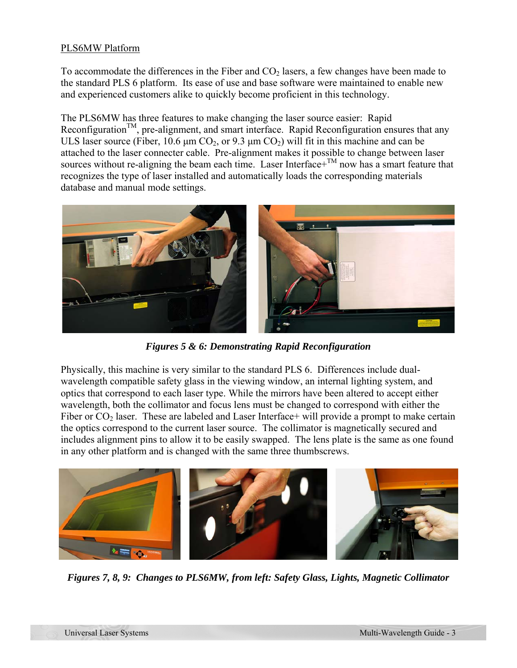## PLS6MW Platform

To accommodate the differences in the Fiber and  $CO<sub>2</sub>$  lasers, a few changes have been made to the standard PLS 6 platform. Its ease of use and base software were maintained to enable new and experienced customers alike to quickly become proficient in this technology.

The PLS6MW has three features to make changing the laser source easier: Rapid Reconfiguration<sup>TM</sup>, pre-alignment, and smart interface. Rapid Reconfiguration ensures that any ULS laser source (Fiber, 10.6  $\mu$ m CO<sub>2</sub>, or 9.3  $\mu$ m CO<sub>2</sub>) will fit in this machine and can be attached to the laser connecter cable. Pre-alignment makes it possible to change between laser sources without re-aligning the beam each time. Laser Interface+ $^{TM}$  now has a smart feature that recognizes the type of laser installed and automatically loads the corresponding materials database and manual mode settings.



*Figures 5 & 6: Demonstrating Rapid Reconfiguration* 

Physically, this machine is very similar to the standard PLS 6. Differences include dualwavelength compatible safety glass in the viewing window, an internal lighting system, and optics that correspond to each laser type. While the mirrors have been altered to accept either wavelength, both the collimator and focus lens must be changed to correspond with either the Fiber or  $CO<sub>2</sub>$  laser. These are labeled and Laser Interface+ will provide a prompt to make certain the optics correspond to the current laser source. The collimator is magnetically secured and includes alignment pins to allow it to be easily swapped. The lens plate is the same as one found in any other platform and is changed with the same three thumbscrews.



*Figures 7, 8, 9: Changes to PLS6MW, from left: Safety Glass, Lights, Magnetic Collimator*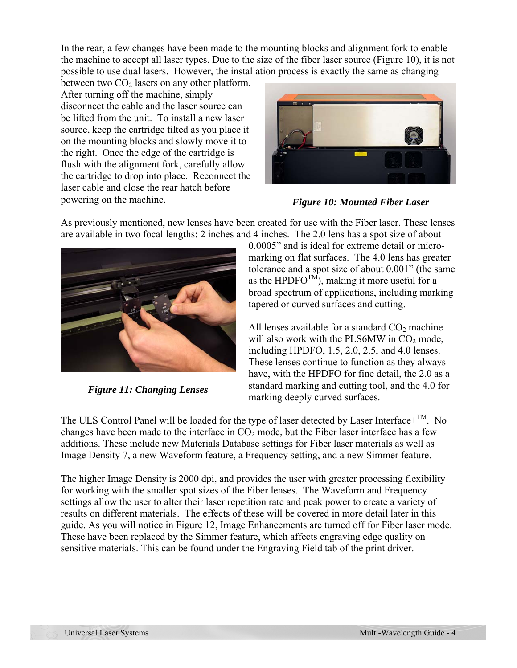In the rear, a few changes have been made to the mounting blocks and alignment fork to enable the machine to accept all laser types. Due to the size of the fiber laser source (Figure 10), it is not possible to use dual lasers. However, the installation process is exactly the same as changing

between two  $CO<sub>2</sub>$  lasers on any other platform. After turning off the machine, simply disconnect the cable and the laser source can be lifted from the unit. To install a new laser source, keep the cartridge tilted as you place it on the mounting blocks and slowly move it to the right. Once the edge of the cartridge is flush with the alignment fork, carefully allow the cartridge to drop into place. Reconnect the laser cable and close the rear hatch before powering on the machine. *Figure 10: Mounted Fiber Laser* 



As previously mentioned, new lenses have been created for use with the Fiber laser. These lenses are available in two focal lengths: 2 inches and 4 inches. The 2.0 lens has a spot size of about



*Figure 11: Changing Lenses* 

0.0005" and is ideal for extreme detail or micromarking on flat surfaces. The 4.0 lens has greater tolerance and a spot size of about 0.001" (the same as the HPDFO<sup>TM</sup>), making it more useful for a broad spectrum of applications, including marking tapered or curved surfaces and cutting.

All lenses available for a standard  $CO<sub>2</sub>$  machine will also work with the PLS6MW in  $CO<sub>2</sub>$  mode, including HPDFO, 1.5, 2.0, 2.5, and 4.0 lenses. These lenses continue to function as they always have, with the HPDFO for fine detail, the 2.0 as a standard marking and cutting tool, and the 4.0 for marking deeply curved surfaces.

The ULS Control Panel will be loaded for the type of laser detected by Laser Interface+ $^{TM}$ . No changes have been made to the interface in  $CO<sub>2</sub>$  mode, but the Fiber laser interface has a few additions. These include new Materials Database settings for Fiber laser materials as well as Image Density 7, a new Waveform feature, a Frequency setting, and a new Simmer feature.

The higher Image Density is 2000 dpi, and provides the user with greater processing flexibility for working with the smaller spot sizes of the Fiber lenses. The Waveform and Frequency settings allow the user to alter their laser repetition rate and peak power to create a variety of results on different materials. The effects of these will be covered in more detail later in this guide. As you will notice in Figure 12, Image Enhancements are turned off for Fiber laser mode. These have been replaced by the Simmer feature, which affects engraving edge quality on sensitive materials. This can be found under the Engraving Field tab of the print driver.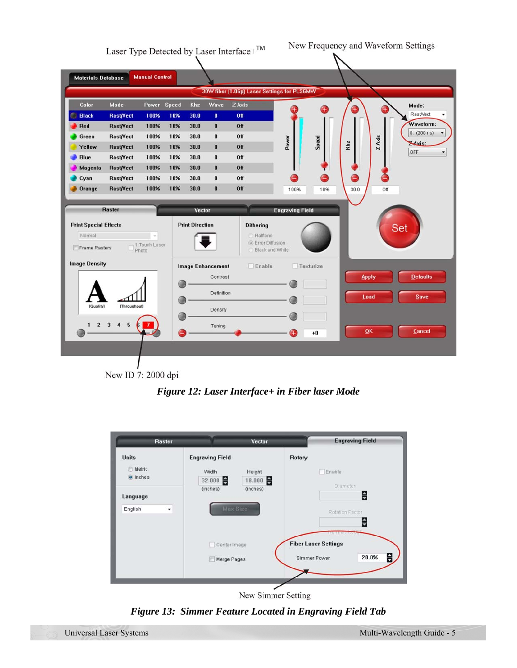

New ID 7: 2000 dpi

*Figure 12: Laser Interface+ in Fiber laser Mode* 



New Simmer Setting

*Figure 13: Simmer Feature Located in Engraving Field Tab*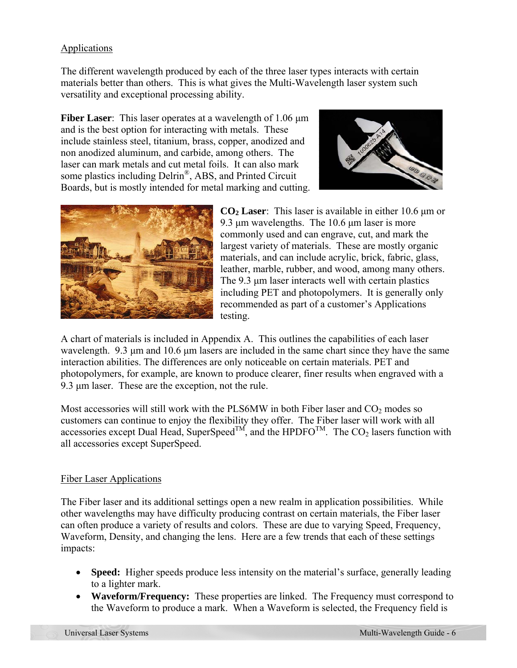# Applications

The different wavelength produced by each of the three laser types interacts with certain materials better than others. This is what gives the Multi-Wavelength laser system such versatility and exceptional processing ability.

**Fiber Laser**: This laser operates at a wavelength of 1.06 μm and is the best option for interacting with metals. These include stainless steel, titanium, brass, copper, anodized and non anodized aluminum, and carbide, among others. The laser can mark metals and cut metal foils. It can also mark some plastics including Delrin®, ABS, and Printed Circuit Boards, but is mostly intended for metal marking and cutting.





**CO2 Laser**: This laser is available in either 10.6 μm or 9.3 μm wavelengths. The 10.6 μm laser is more commonly used and can engrave, cut, and mark the largest variety of materials. These are mostly organic materials, and can include acrylic, brick, fabric, glass, leather, marble, rubber, and wood, among many others. The 9.3 μm laser interacts well with certain plastics including PET and photopolymers. It is generally only recommended as part of a customer's Applications testing.

A chart of materials is included in Appendix A. This outlines the capabilities of each laser wavelength. 9.3 μm and 10.6 μm lasers are included in the same chart since they have the same interaction abilities. The differences are only noticeable on certain materials. PET and photopolymers, for example, are known to produce clearer, finer results when engraved with a 9.3 μm laser. These are the exception, not the rule.

Most accessories will still work with the PLS6MW in both Fiber laser and  $CO<sub>2</sub>$  modes so customers can continue to enjoy the flexibility they offer. The Fiber laser will work with all accessories except Dual Head, SuperSpeed<sup>TM</sup>, and the HPDFO<sup>TM</sup>. The  $CO<sub>2</sub>$  lasers function with all accessories except SuperSpeed.

# Fiber Laser Applications

The Fiber laser and its additional settings open a new realm in application possibilities. While other wavelengths may have difficulty producing contrast on certain materials, the Fiber laser can often produce a variety of results and colors. These are due to varying Speed, Frequency, Waveform, Density, and changing the lens. Here are a few trends that each of these settings impacts:

- **Speed:** Higher speeds produce less intensity on the material's surface, generally leading to a lighter mark.
- **Waveform/Frequency:** These properties are linked. The Frequency must correspond to the Waveform to produce a mark. When a Waveform is selected, the Frequency field is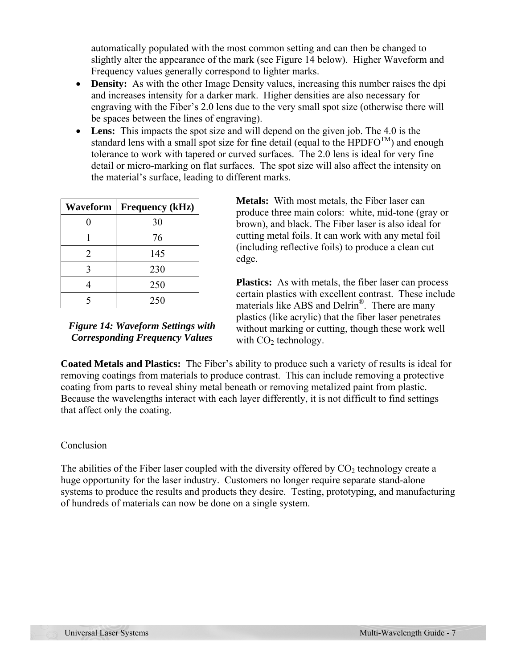automatically populated with the most common setting and can then be changed to slightly alter the appearance of the mark (see Figure 14 below). Higher Waveform and Frequency values generally correspond to lighter marks.

- **Density:** As with the other Image Density values, increasing this number raises the dpi and increases intensity for a darker mark. Higher densities are also necessary for engraving with the Fiber's 2.0 lens due to the very small spot size (otherwise there will be spaces between the lines of engraving).
- **Lens:** This impacts the spot size and will depend on the given job. The 4.0 is the standard lens with a small spot size for fine detail (equal to the HPDFO<sup>TM</sup>) and enough tolerance to work with tapered or curved surfaces. The 2.0 lens is ideal for very fine detail or micro-marking on flat surfaces. The spot size will also affect the intensity on the material's surface, leading to different marks.

| Waveform                    | <b>Frequency (kHz)</b> |
|-----------------------------|------------------------|
|                             | 30                     |
|                             | 76                     |
| $\mathcal{D}_{\mathcal{L}}$ | 145                    |
| 3                           | 230                    |
|                             | 250                    |
|                             | 250                    |

*Figure 14: Waveform Settings with Corresponding Frequency Values* 

**Metals:** With most metals, the Fiber laser can produce three main colors: white, mid-tone (gray or brown), and black. The Fiber laser is also ideal for cutting metal foils. It can work with any metal foil (including reflective foils) to produce a clean cut edge.

**Plastics:** As with metals, the fiber laser can process certain plastics with excellent contrast. These include materials like ABS and Delrin®. There are many plastics (like acrylic) that the fiber laser penetrates without marking or cutting, though these work well with  $CO<sub>2</sub>$  technology.

**Coated Metals and Plastics:** The Fiber's ability to produce such a variety of results is ideal for removing coatings from materials to produce contrast. This can include removing a protective coating from parts to reveal shiny metal beneath or removing metalized paint from plastic. Because the wavelengths interact with each layer differently, it is not difficult to find settings that affect only the coating.

#### Conclusion

The abilities of the Fiber laser coupled with the diversity offered by  $CO<sub>2</sub>$  technology create a huge opportunity for the laser industry. Customers no longer require separate stand-alone systems to produce the results and products they desire. Testing, prototyping, and manufacturing of hundreds of materials can now be done on a single system.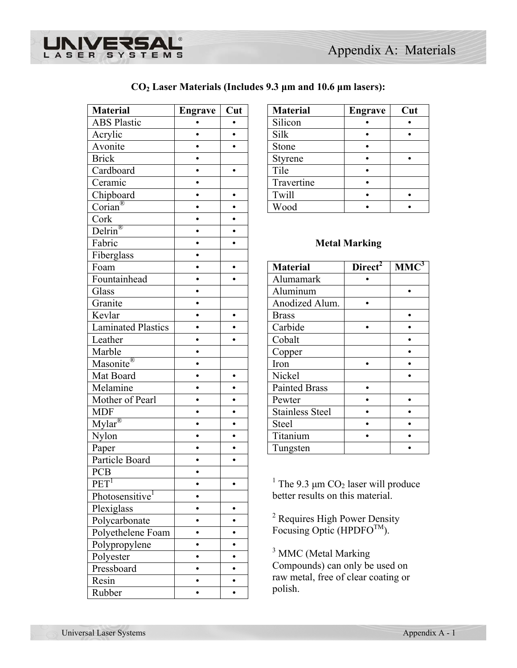

|  | $CO2$ Laser Materials (Includes 9.3 µm and 10.6 µm lasers): |  |  |
|--|-------------------------------------------------------------|--|--|
|  |                                                             |  |  |

| <b>Material</b>                       | <b>Engrave</b> | Cut       | <b>Material</b>                                                 | <b>Engrave</b>       | Cut        |
|---------------------------------------|----------------|-----------|-----------------------------------------------------------------|----------------------|------------|
| <b>ABS Plastic</b>                    |                | $\bullet$ | Silicon                                                         |                      |            |
| Acrylic                               | $\bullet$      | $\bullet$ | Silk                                                            | $\bullet$            | $\bullet$  |
| Avonite                               | $\bullet$      | $\bullet$ | Stone                                                           |                      |            |
| <b>Brick</b>                          |                |           | Styrene                                                         |                      | $\bullet$  |
| Cardboard                             | $\bullet$      | $\bullet$ | Tile                                                            | $\bullet$            |            |
| Ceramic                               |                |           | Travertine                                                      |                      |            |
| Chipboard                             | $\bullet$      | $\bullet$ | Twill                                                           | $\bullet$            | $\bullet$  |
| $Corian^{\circledR}$                  |                | $\bullet$ | Wood                                                            |                      |            |
| Cork                                  |                |           |                                                                 |                      |            |
| $\frac{1}{\text{Delrin}^{\circledR}}$ |                | $\bullet$ |                                                                 |                      |            |
| Fabric                                |                | $\bullet$ |                                                                 | <b>Metal Marking</b> |            |
| Fiberglass                            |                |           |                                                                 |                      |            |
| Foam                                  | $\bullet$      | $\bullet$ | <b>Material</b>                                                 | Direct <sup>2</sup>  | <b>MMC</b> |
| Fountainhead                          | $\bullet$      |           | Alumamark                                                       |                      |            |
| Glass                                 | $\bullet$      |           | Aluminum                                                        |                      | $\bullet$  |
| Granite                               | $\bullet$      |           | Anodized Alum.                                                  |                      |            |
| Kevlar                                | $\bullet$      | $\bullet$ | <b>Brass</b>                                                    |                      | $\bullet$  |
| <b>Laminated Plastics</b>             | $\bullet$      | $\bullet$ | Carbide                                                         | $\bullet$            | $\bullet$  |
| Leather                               | $\bullet$      | $\bullet$ | Cobalt                                                          |                      |            |
| Marble                                | $\bullet$      |           | Copper                                                          |                      | $\bullet$  |
| Masonite®                             | $\bullet$      |           | Iron                                                            | $\bullet$            | $\bullet$  |
| Mat Board                             | $\bullet$      | $\bullet$ | Nickel                                                          |                      |            |
| Melamine                              |                | $\bullet$ | <b>Painted Brass</b>                                            | $\bullet$            |            |
| Mother of Pearl                       |                | $\bullet$ | Pewter                                                          |                      | $\bullet$  |
| <b>MDF</b>                            |                | $\bullet$ | <b>Stainless Steel</b>                                          |                      |            |
| $Mylar^{\circledR}$                   |                | $\bullet$ | Steel                                                           | $\bullet$            | $\bullet$  |
| Nylon                                 |                |           | Titanium                                                        |                      |            |
| Paper                                 | $\bullet$      | $\bullet$ | Tungsten                                                        |                      |            |
| Particle Board                        | $\bullet$      | $\bullet$ |                                                                 |                      |            |
| PCB                                   |                |           |                                                                 |                      |            |
| PET <sup>1</sup>                      |                |           | <sup>1</sup> The 9.3 $\mu$ m CO <sub>2</sub> laser will produce |                      |            |
| Photosensitive <sup>1</sup>           |                |           | better results on this material.                                |                      |            |
| Plexiglass                            | $\bullet$      | $\bullet$ |                                                                 |                      |            |
| Polycarbonate                         |                | $\bullet$ | <sup>2</sup> Requires High Power Density                        |                      |            |
| Polyethelene Foam                     | $\bullet$      | $\bullet$ | Focusing Optic (HPDFO $^{TM}$ ).                                |                      |            |
| Polypropylene                         | $\bullet$      | $\bullet$ |                                                                 |                      |            |
| Polyester                             | $\bullet$      | $\bullet$ | <sup>3</sup> MMC (Metal Marking                                 |                      |            |
| Pressboard                            | $\bullet$      | $\bullet$ | Compounds) can only be used on                                  |                      |            |
| Resin                                 |                | $\bullet$ | raw metal, free of clear coating or                             |                      |            |
| Rubber                                |                | $\bullet$ | polish.                                                         |                      |            |

| <b>Material</b> | <b>Engrave</b> | Cut |
|-----------------|----------------|-----|
| Silicon         |                |     |
| Silk            |                |     |
| Stone           |                |     |
| Styrene         |                |     |
| Tile            |                |     |
| Travertine      |                |     |
| Twill           |                |     |
| Wood            |                |     |

## **Metal Marking**

| 1001,1000                                    |  |                        |                     |         |
|----------------------------------------------|--|------------------------|---------------------|---------|
| Foam                                         |  | <b>Material</b>        | Direct <sup>2</sup> | $MMC^3$ |
| Fountainhead                                 |  | Alumamark              |                     |         |
| Glass                                        |  | Aluminum               |                     |         |
| Granite                                      |  | Anodized Alum.         |                     |         |
| Kevlar                                       |  | <b>Brass</b>           |                     |         |
| <b>Laminated Plastics</b>                    |  | Carbide                |                     |         |
| Leather                                      |  | Cobalt                 |                     |         |
| Marble                                       |  | Copper                 |                     |         |
| Masonite®                                    |  | Iron                   |                     |         |
| Mat Board                                    |  | Nickel                 |                     |         |
| Melamine                                     |  | <b>Painted Brass</b>   |                     |         |
| Mother of Pearl                              |  | Pewter                 |                     |         |
| MDF                                          |  | <b>Stainless Steel</b> |                     |         |
| $\overline{\text{Mylar}^{\text{\textcirc}}}$ |  | Steel                  |                     |         |
| Nylon                                        |  | Titanium               |                     |         |
| Paper                                        |  | Tungsten               |                     |         |
|                                              |  |                        |                     |         |